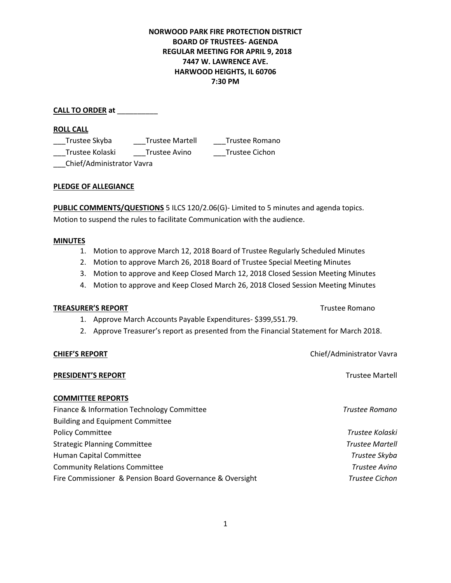## **NORWOOD PARK FIRE PROTECTION DISTRICT BOARD OF TRUSTEES- AGENDA REGULAR MEETING FOR APRIL 9, 2018 7447 W. LAWRENCE AVE. HARWOOD HEIGHTS, IL 60706 7:30 PM**

**CALL TO ORDER at** \_\_\_\_\_\_\_\_\_\_

**ROLL CALL** 

\_\_\_Trustee Skyba \_\_\_Trustee Martell \_\_\_Trustee Romano \_\_\_Trustee Kolaski \_\_\_Trustee Avino \_\_\_Trustee Cichon

\_\_\_Chief/Administrator Vavra

## **PLEDGE OF ALLEGIANCE**

**PUBLIC COMMENTS/QUESTIONS** 5 ILCS 120/2.06(G)- Limited to 5 minutes and agenda topics. Motion to suspend the rules to facilitate Communication with the audience.

### **MINUTES**

- 1. Motion to approve March 12, 2018 Board of Trustee Regularly Scheduled Minutes
- 2. Motion to approve March 26, 2018 Board of Trustee Special Meeting Minutes
- 3. Motion to approve and Keep Closed March 12, 2018 Closed Session Meeting Minutes
- 4. Motion to approve and Keep Closed March 26, 2018 Closed Session Meeting Minutes

### **TREASURER'S REPORT** TREASURER'S REPORT

- 1. Approve March Accounts Payable Expenditures- \$399,551.79.
- 2. Approve Treasurer's report as presented from the Financial Statement for March 2018.

### **CHIEF'S REPORT** Chief/Administrator Vavra

# **PRESIDENT'S REPORT Trustee Martell**

### **COMMITTEE REPORTS**

| Finance & Information Technology Committee               | Trustee Romano         |
|----------------------------------------------------------|------------------------|
| <b>Building and Equipment Committee</b>                  |                        |
| <b>Policy Committee</b>                                  | Trustee Kolaski        |
| <b>Strategic Planning Committee</b>                      | <b>Trustee Martell</b> |
| <b>Human Capital Committee</b>                           | Trustee Skyba          |
| <b>Community Relations Committee</b>                     | Trustee Avino          |
| Fire Commissioner & Pension Board Governance & Oversight | Trustee Cichon         |